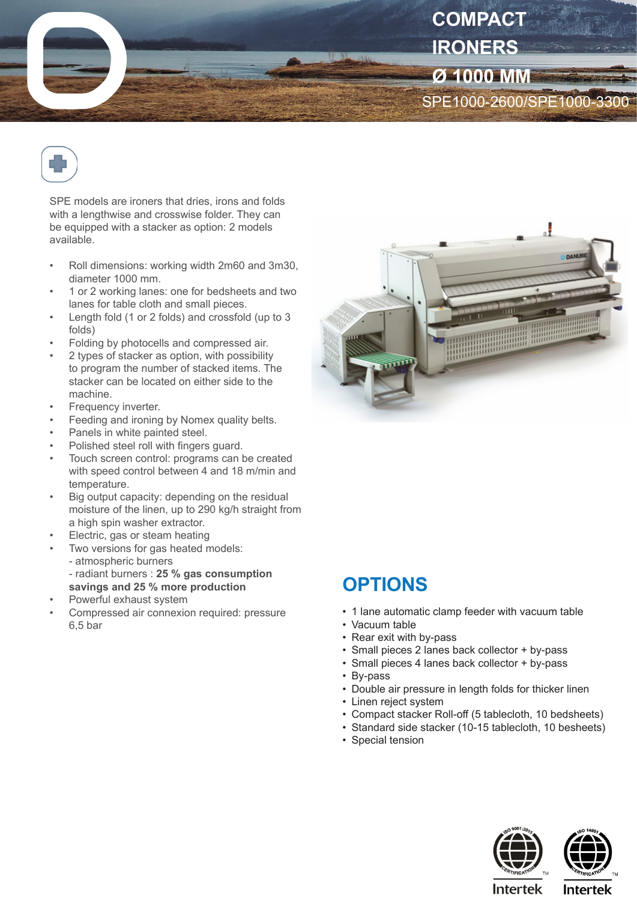



SPE models are ironers that dries, irons and folds with a lengthwise and crosswise folder. They can be equipped with a stacker as option: 2 models available.

- Roll dimensions: working width 2m60 and 3m30, diameter 1000 mm.
- 1 or 2 working lanes: one for bedsheets and two lanes for table cloth and small pieces.
- Length fold (1 or 2 folds) and crossfold (up to 3 folds)
- Folding by photocells and compressed air.
- 2 types of stacker as option, with possibility to program the number of stacked items. The stacker can be located on either side to the machine.
- Frequency inverter.
- Feeding and ironing by Nomex quality belts.
- Panels in white painted steel.
- Polished steel roll with fingers guard.
- Touch screen control: programs can be created with speed control between 4 and 18 m/min and temperature.
- Big output capacity: depending on the residual moisture of the linen, up to 290 kg/h straight from a high spin washer extractor.
- Electric, gas or steam heating
- Two versions for gas heated models:
	- atmospheric burners
	- radiant burners : **25 % gas consumption savings and 25 % more production**
- Powerful exhaust system
- Compressed air connexion required: pressure 6,5 bar



## **OPTIONS**

- 1 lane automatic clamp feeder with vacuum table
- Vacuum table
- Rear exit with by-pass
- Small pieces 2 lanes back collector + by-pass
- Small pieces 4 lanes back collector + by-pass
- By-pass
- Double air pressure in length folds for thicker linen
- Linen reject system
- Compact stacker Roll-off (5 tablecloth, 10 bedsheets)
- Standard side stacker (10-15 tablecloth, 10 besheets)
- Special tension





**Intertek**